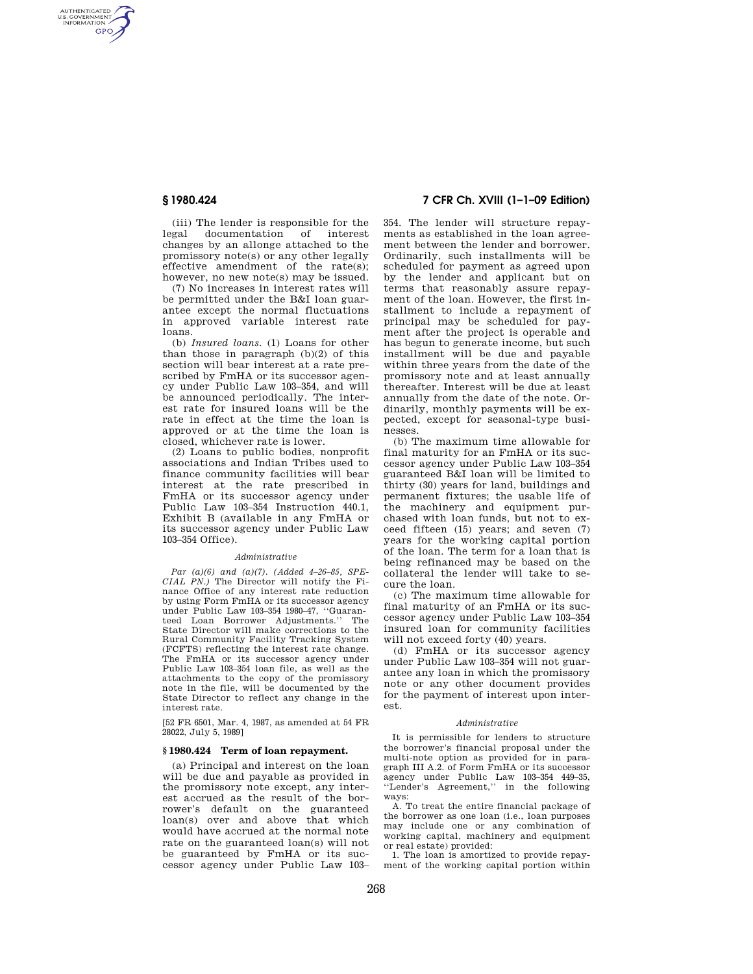AUTHENTICATED<br>U.S. GOVERNMENT<br>INFORMATION **GPO** 

> (iii) The lender is responsible for the legal documentation of interest changes by an allonge attached to the promissory note(s) or any other legally effective amendment of the rate(s); however, no new note(s) may be issued.

> (7) No increases in interest rates will be permitted under the B&I loan guarantee except the normal fluctuations in approved variable interest rate loans.

> (b) *Insured loans.* (1) Loans for other than those in paragraph (b)(2) of this section will bear interest at a rate prescribed by FmHA or its successor agency under Public Law 103–354, and will be announced periodically. The interest rate for insured loans will be the rate in effect at the time the loan is approved or at the time the loan is closed, whichever rate is lower.

> (2) Loans to public bodies, nonprofit associations and Indian Tribes used to finance community facilities will bear interest at the rate prescribed in FmHA or its successor agency under Public Law 103–354 Instruction 440.1, Exhibit B (available in any FmHA or its successor agency under Public Law 103–354 Office).

### *Administrative*

*Par (a)(6) and (a)(7). (Added 4–26–85, SPE-CIAL PN.)* The Director will notify the Finance Office of any interest rate reduction by using Form FmHA or its successor agency under Public Law 103–354 1980–47, ''Guaranteed Loan Borrower Adjustments.'' The State Director will make corrections to the Rural Community Facility Tracking System (FCFTS) reflecting the interest rate change. The FmHA or its successor agency under Public Law 103–354 loan file, as well as the attachments to the copy of the promissory note in the file, will be documented by the State Director to reflect any change in the interest rate.

[52 FR 6501, Mar. 4, 1987, as amended at 54 FR 28022, July 5, 1989]

# **§ 1980.424 Term of loan repayment.**

(a) Principal and interest on the loan will be due and payable as provided in the promissory note except, any interest accrued as the result of the borrower's default on the guaranteed loan(s) over and above that which would have accrued at the normal note rate on the guaranteed loan(s) will not be guaranteed by FmHA or its successor agency under Public Law 103–

# **§ 1980.424 7 CFR Ch. XVIII (1–1–09 Edition)**

354. The lender will structure repayments as established in the loan agreement between the lender and borrower. Ordinarily, such installments will be scheduled for payment as agreed upon by the lender and applicant but on terms that reasonably assure repayment of the loan. However, the first installment to include a repayment of principal may be scheduled for payment after the project is operable and has begun to generate income, but such installment will be due and payable within three years from the date of the promissory note and at least annually thereafter. Interest will be due at least annually from the date of the note. Ordinarily, monthly payments will be expected, except for seasonal-type businesses.

(b) The maximum time allowable for final maturity for an FmHA or its successor agency under Public Law 103–354 guaranteed B&I loan will be limited to thirty (30) years for land, buildings and permanent fixtures; the usable life of the machinery and equipment purchased with loan funds, but not to exceed fifteen (15) years; and seven (7) years for the working capital portion of the loan. The term for a loan that is being refinanced may be based on the collateral the lender will take to secure the loan.

(c) The maximum time allowable for final maturity of an FmHA or its successor agency under Public Law 103–354 insured loan for community facilities will not exceed forty (40) years.

(d) FmHA or its successor agency under Public Law 103–354 will not guarantee any loan in which the promissory note or any other document provides for the payment of interest upon interest.

#### *Administrative*

It is permissible for lenders to structure the borrower's financial proposal under the multi-note option as provided for in paragraph III A.2. of Form FmHA or its successor agency under Public Law 103–354 449–35, ''Lender's Agreement,'' in the following ways:

A. To treat the entire financial package of the borrower as one loan (i.e., loan purposes may include one or any combination of working capital, machinery and equipment or real estate) provided:

1. The loan is amortized to provide repayment of the working capital portion within